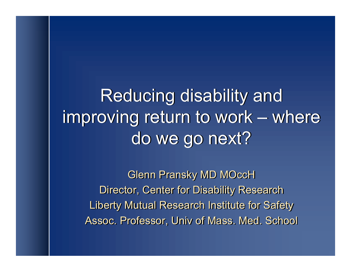Reducing disability and Reducing disability and improving return to work – where improving return to work – where do we go next? do we go next?

Glenn Pransky MD MOccH Glenn Pransky MD MOccH Director, Center for Disability Research Director, Center for Disability Research Liberty Mutual Research Institute for Safety Liberty Mutual Research Institute for Safety Assoc. Professor, Univ of Mass. Med. School Assoc. Professor, Univ of Mass. Med. School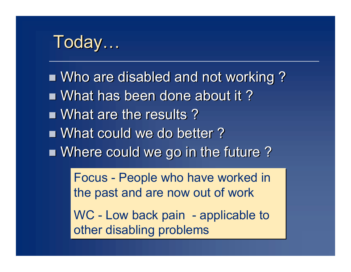# Today…

■ Who are disabled and not working? ■ What has been done about it? **Nhat are the results?** ■ What could we do better? **Nhere could we go in the future?** 

> Focus - People who have worked in Focus - People who have worked in the past and are now out of work the past and are now out of work

> WC - Low back pain - applicable to WC - Low back pain - applicable to other disabling problems other disabling problems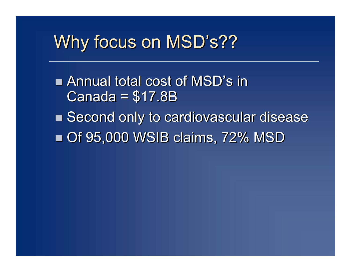# Why focus on MSD's??

■ Annual total cost of MSD's in Canada = \$17.8B Canada = \$17.8B ■ Second only to cardiovascular disease n Of 95,000 WSIB claims, 72% MSD n Of 95,000 WSIB claims, 72% MSD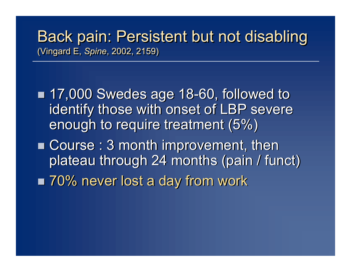## Back pain: Persistent but not disabling Back pain: Persistent but not disabling (Vingard E, *Spine*, 2002, 2159) (Vingard E, *Spine*, 2002, 2159)

■ 17,000 Swedes age 18-60, followed to identify those with onset of LBP severe identify those with onset of LBP severe enough to require treatment (5%) enough to require treatment (5%)

- Course: 3 month improvement, then plateau through 24 months (pain / funct) plateau through 24 months (pain / funct)
- 70% never lost a day from work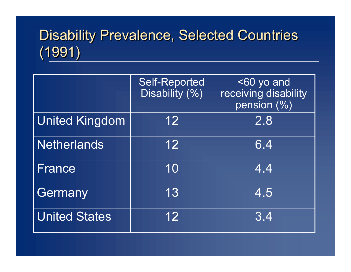# Disability Prevalence, Selected Countries Disability Prevalence, Selected Countries (1991) (1991)

|                       | <b>Self-Reported</b><br>Disability (%) | <60 yo and<br>receiving disability<br>pension (%) |
|-----------------------|----------------------------------------|---------------------------------------------------|
| <b>United Kingdom</b> | 12                                     | $\overline{2.8}$                                  |
| <b>Netherlands</b>    | 12                                     | 6.4                                               |
| France                | 10                                     | 4.4                                               |
| Germany               | 13                                     | 4.5                                               |
| <b>United States</b>  | 12 <sub>2</sub>                        | 3.4                                               |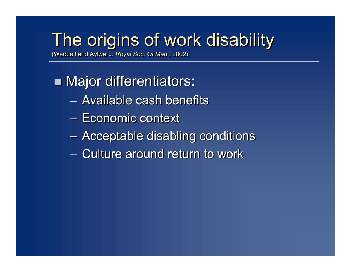# The origins of work disability The origins of work disability

(Waddell and Aylward, *Royal Soc. Of Med*., 2002) (Waddell and Aylward, *Royal Soc. Of Med*., 2002)

## **Najor differentiators:**

- Available cash benefits Available cash benefits
- Economic context Economic context
- Acceptable disabling conditions Acceptable disabling conditions
- Culture around return to work Culture around return to work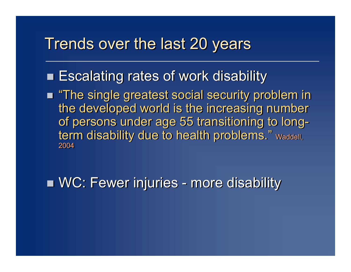## Trends over the last 20 years

- **Escalating rates of work disability**
- **n** "The single greatest social security problem in the developed world is the increasing number the developed world is the increasing number of persons under age 55 transitioning to long-of persons under age 55 transitioning to longterm disability due to health problems." Waddell, 2004 2004

**NC: Fewer injuries - more disability**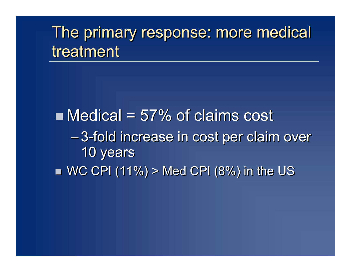# The primary response: more medical The primary response: more medical treatment treatment

 $\blacksquare$  Medical = 57% of claims cost – 3-fold increase in cost per claim over – 3-fold increase in cost per claim over 10 years 10 years  $\blacksquare$  WC CPI (11%) > Med CPI (8%) in the US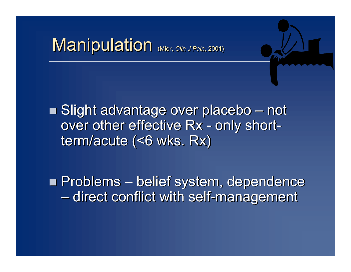# Manipulation (Mior, *Clin J Pain*, 2001)

■ Slight advantage over placebo – not over other effective Rx - only shortterm/acute (<6 wks. Rx) term/acute (<6 wks. Rx)

**n Problems – belief system, dependence** – direct conflict with self-management – direct conflict with self-management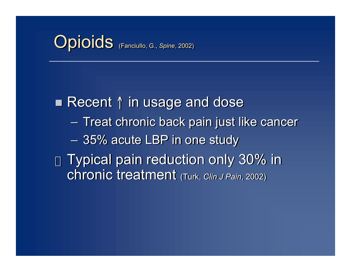# **Opioids** (Fanciullo, G., Spine, 2002)

■ Recent ↑ in usage and dose – Treat chronic back pain just like cancer – Treat chronic back pain just like cancer – 35% acute LBP in one study – 35% acute LBP in one study  $\rm_{v}$  Typical pain reduction only 30% in chronic treatment (Turk, *Clin J Pain*, 2002) chronic treatment (Turk, *Clin J Pain*, 2002)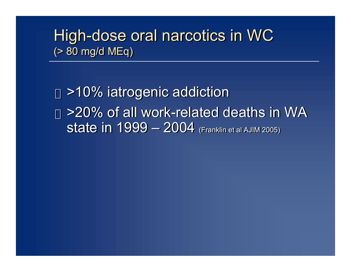## High-dose oral narcotics in WC High-dose oral narcotics in WC (> 80 mg/d MEq) (> 80 mg/d MEq)

 $_{\rm v}$  >10% iatrogenic addiction  $_{\rm v}$  >20% of all work-related deaths in WA state in 1999 – 2004 (Franklin et al AJIM 2005) state in 1999 – 2004 (Franklin et al AJIM 2005)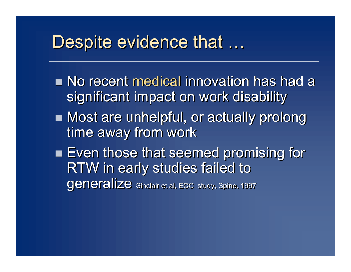# Despite evidence that …

- **No recent medical innovation has had a** significant impact on work disability significant impact on work disability
- **n Most are unhelpful, or actually prolong** time away from work time away from work
- **Even those that seemed promising for** RTW in early studies failed to RTW in early studies failed to generalize sinclair et al, ECC study, Spine, 1997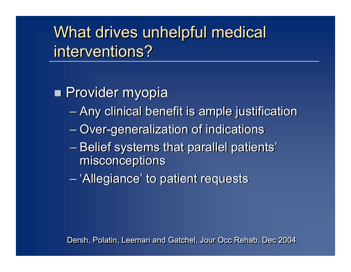What drives unhelpful medical What drives unhelpful medical interventions? interventions?

**n** Provider myopia

- Any clinical benefit is ample justification Any clinical benefit is ample justification
- Over-generalization of indications Over-generalization of indications
- Belief systems that parallel patients' Belief systems that parallel patients' misconceptions misconceptions
- 'Allegiance' to patient requests 'Allegiance' to patient requests

Dersh, Polatin, Leeman and Gatchel, Jour Occ Rehab, Dec 2004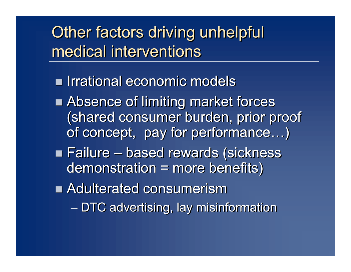Other factors driving unhelpful Other factors driving unhelpful medical interventions medical interventions

n Irrational economic models n Irrational economic models

- Absence of limiting market forces (shared consumer burden, prior proof (shared consumer burden, prior proof of concept, pay for performance…) of concept, pay for performance…)
- n Failure based rewards (sickness n Failure based rewards (sickness demonstration = more benefits) demonstration = more benefits)

n Adulterated consumerism n Adulterated consumerism

– DTC advertising, lay misinformation – DTC advertising, lay misinformation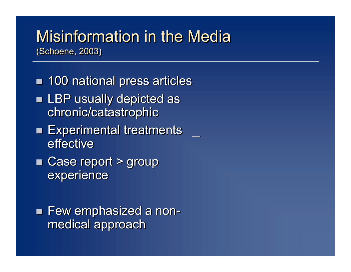## Misinformation in the Media Misinformation in the Media (Schoene, 2003) (Schoene, 2003)

- 100 national press articles **Example 1 LBP usually depicted as** chronic/catastrophic chronic/catastrophic
- Experimental treatments \_ effective effective
- Case report > group experience experience

**E** Few emphasized a nonmedical approach medical approach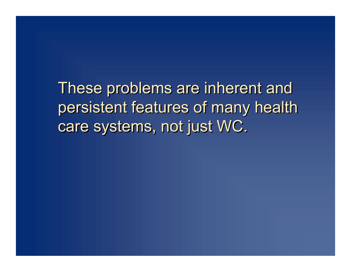These problems are inherent and These problems are inherent and persistent features of many health persistent features of many health care systems, not just WC. care systems, not just WC.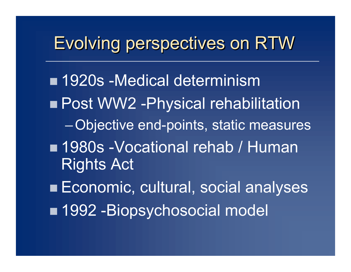# Evolving perspectives on RTW

■ 1920s -Medical determinism **n Post WW2 - Physical rehabilitation** –Objective end-points, static measures ■ 1980s -Vocational rehab / Human Rights Act

■ Economic, cultural, social analyses ■ 1992 -Biopsychosocial model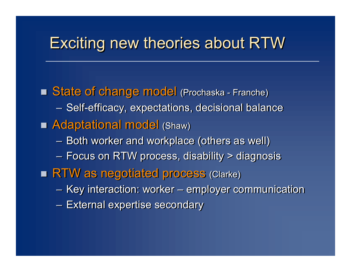## Exciting new theories about RTW

**n State of change model (Prochaska - Franche)** – Self-efficacy, expectations, decisional balance – Self-efficacy, expectations, decisional balance **n Adaptational model (Shaw)** – Both worker and workplace (others as well) – Both worker and workplace (others as well) – Focus on RTW process, disability > diagnosis – Focus on RTW process, disability > diagnosis **RTW as negotiated process (Clarke)** – Key interaction: worker – employer communication – Key interaction: worker – employer communication – External expertise secondary – External expertise secondary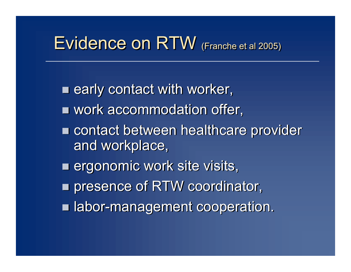# Evidence on RTW (Franche et al 2005)

**n** early contact with worker, **u** work accommodation offer, ■ contact between healthcare provider and workplace, and workplace, **Example 20 Figure 10 Figure 11: En 11: En 11: En 11: En 11: En 11: En 11: En 11: En 11: En 11: En 11: En 11: En 11: En 11: En 11: En 11: En 11: En 11: En 11: En 11: En 11: En 11: En 11: En 11: En 11: En 11: En 11: En 11: n** presence of RTW coordinator, **n labor-management cooperation.**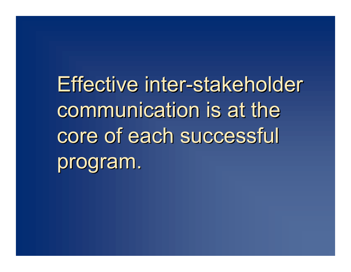Effective inter-stakeholder Effective inter-stakeholder communication is at the communication is at the core of each successful core of each successful program. program.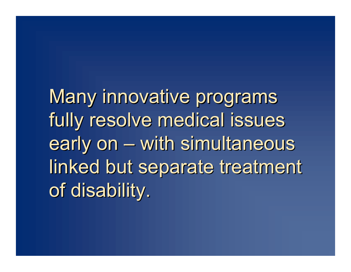Many innovative programs Many innovative programs fully resolve medical issues fully resolve medical issues early on – with simultaneous early on – with simultaneous linked but separate treatment linked but separate treatment of disability. of disability.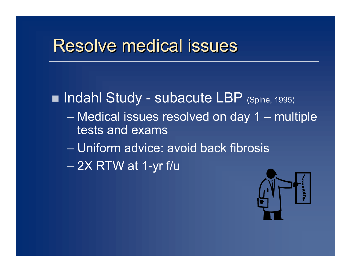# Resolve medical issues

■ Indahl Study - subacute LBP (Spine, 1995) – Medical issues resolved on day 1 – multiple tests and exams – Uniform advice: avoid back fibrosis  $-$  2X RTW at 1-yr f/u

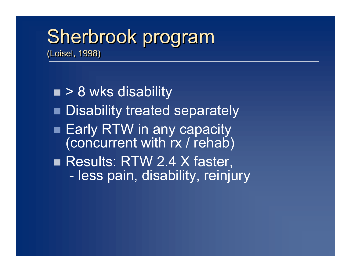# Sherbrook program Sherbrook program

(Loisel, 1998) (Loisel, 1998)

 $\blacksquare$  > 8 wks disability **Disability treated separately Early RTW in any capacity** (concurrent with rx / rehab) Results: RTW 2.4 X faster, - less pain, disability, reinjury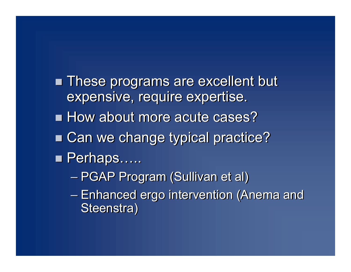**n These programs are excellent but** expensive, require expertise. expensive, require expertise. **How about more acute cases?** ■ Can we change typical practice? ■ Perhaps……

- PGAP Program (Sullivan et al) PGAP Program (Sullivan et al)
- Enhanced ergo intervention (Anema and Enhanced ergo intervention (Anema and Steenstra) Steenstra)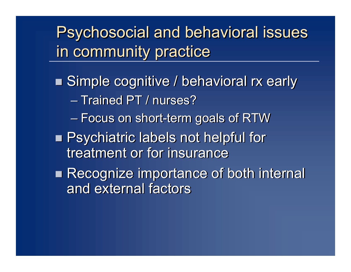Psychosocial and behavioral issues Psychosocial and behavioral issues in community practice in community practice

■ Simple cognitive / behavioral rx early – Trained PT / nurses? – Trained PT / nurses? – Focus on short-term goals of RTW – Focus on short-term goals of RTW

**n Psychiatric labels not helpful for** treatment or for insurance treatment or for insurance

**Recognize importance of both internal** and external factors and external factors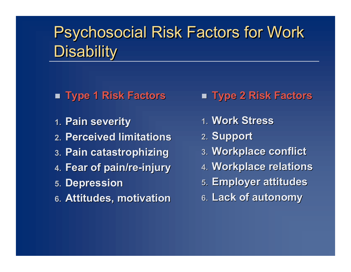# Psychosocial Risk Factors for Work Psychosocial Risk Factors for Work Disability Disability

- n **Type 1 Risk Factors** n **Type 2 Risk Factors**
- **1. Pain severity Pain severity**
- **2. Perceived limitations Perceived limitations**
- **3. Pain catastrophizing**
- **4. Fear of pain/re-injury**
- **5. Depression**
- **6.** Attitudes, motivation

- **1. Work Stress**
- **2. Support**
- **3. Workplace conflict orkplace conflict**
- **4. Workplace relations orkplace relations**
- **5. Employer attitudes**
- **6. Lack of autonom Lack of autonomy**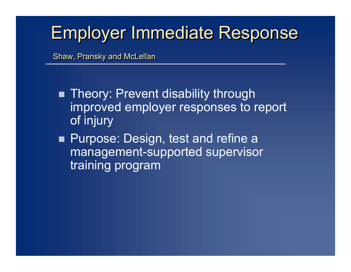# Employer Immediate Response Employer Immediate Response

Shaw, Pransky and McLellan Shaw, Pransky and McLellan

- **n** Theory: Prevent disability through improved employer responses to report of injury
- **Purpose: Design, test and refine a** management-supported supervisor training program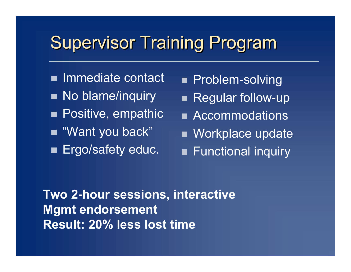# **Supervisor Training Program**

- **n** Immediate contact
- No blame/inquiry
- **n** Positive, empathic
- $\blacksquare$  "Want you back"
- **Ergo/safety educ.**
- **n** Problem-solving
- Regular follow-up
- **n** Accommodations
- **Norkplace update**
- **Functional inquiry**

**Two 2-hour sessions, interactive Mgmt endorsement Result: 20% less lost time**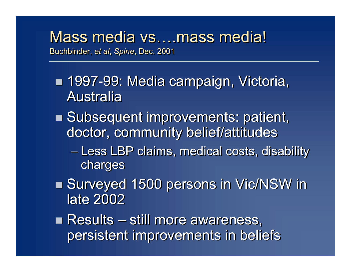### Mass media vs....mass media! Buchbinder, *et al*, *Spine*, Dec. 2001 Buchbinder, *et al*, *Spine*, Dec. 2001

- 1997-99: Media campaign, Victoria, Australia Australia
- **Example 3 Subsequent improvements: patient,** doctor, community belief/attitudes doctor, community belief/attitudes
	- Less LBP claims, medical costs, disability Less LBP claims, medical costs, disability charges charges
- Surveyed 1500 persons in Vic/NSW in late 2002 late 2002

n Results – still more awareness, n Results – still more awareness, persistent improvements in beliefs persistent improvements in beliefs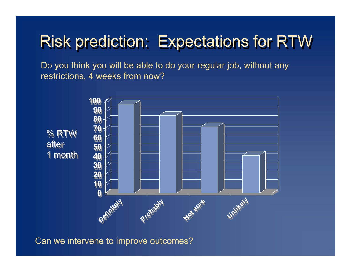# Risk prediction: Expectations for RTW

Do you think you will be able to do your regular job, without any restrictions, 4 weeks from now?



Can we intervene to improve outcomes?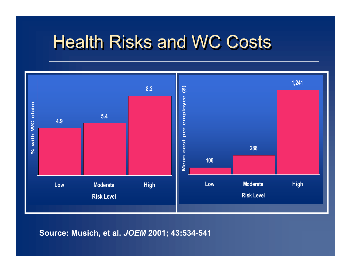# **Health Risks and WC Costs**



**Source: Musich, et al.** *JOEM* **2001; 43:534-541**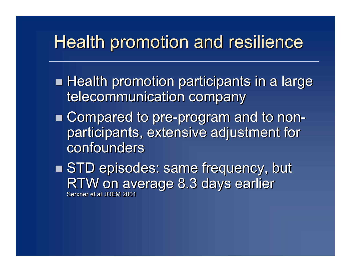# Health promotion and resilience

- **Health promotion participants in a large** telecommunication company telecommunication company
- n Compared to pre-program and to non-n Compared to pre-program and to nonparticipants, extensive adjustment for participants, extensive adjustment for confounders confounders
- STD episodes: same frequency, but RTW on average 8.3 days earlier RTW on average 8.3 days earlier Serxner et al JOEM 2001 Serxner et al JOEM 2001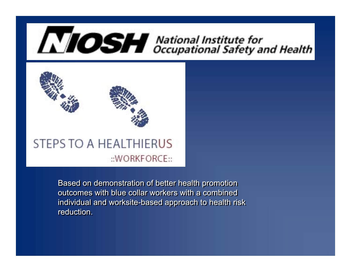# **NOSH** National Institute for<br> **NOSH** Occupational Safety and Health



Based on demonstration of better health promotion Based on demonstration of better health promotion outcomes with blue collar workers with a combined outcomes with blue collar workers with a combined individual and worksite-based approach to health risk individual and worksite-based approach to health risk reduction. reduction.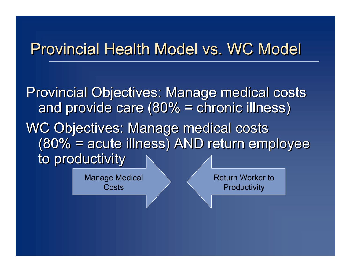## Provincial Health Model vs. WC Model

Provincial Objectives: Manage medical costs Provincial Objectives: Manage medical costs and provide care (80% = chronic illness) and provide care (80% = chronic illness) WC Objectives: Manage medical costs WC Objectives: Manage medical costs (80% = acute illness) AND return employee (80% = acute illness) AND return employee to productivity to productivity

> Manage Medical **Costs**

Return Worker to **Productivity**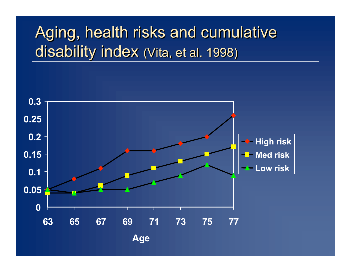# Aging, health risks and cumulative Aging, health risks and cumulative disability index (Vita, et al. 1998) disability index (Vita, et al. 1998)

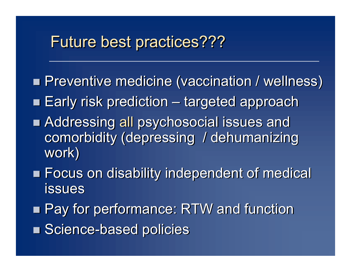## Future best practices???

- **n Preventive medicine (vaccination / wellness)**
- **Early risk prediction targeted approach**
- **n Addressing all psychosocial issues and** comorbidity (depressing / dehumanizing comorbidity (depressing / dehumanizing work) work)
- **Example 26 Tandials Independent of medical** issues issues
- Pay for performance: RTW and function
- Science-based policies